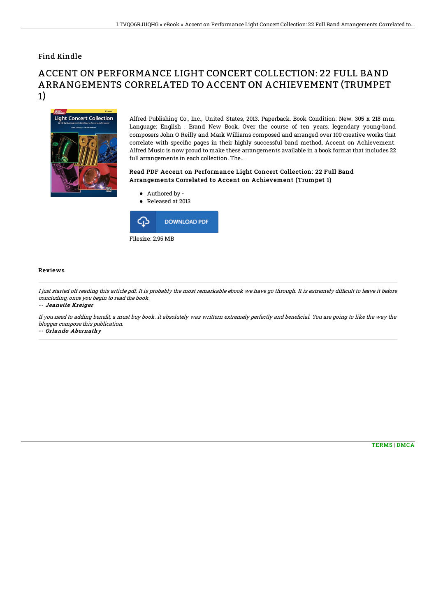## Find Kindle

# ACCENT ON PERFORMANCE LIGHT CONCERT COLLECTION: 22 FULL BAND ARRANGEMENTS CORRELATED TO ACCENT ON ACHIEVEMENT (TRUMPET 1)



Alfred Publishing Co., Inc., United States, 2013. Paperback. Book Condition: New. 305 x 218 mm. Language: English . Brand New Book. Over the course of ten years, legendary young-band composers John O Reilly and Mark Williams composed and arranged over 100 creative works that correlate with specific pages in their highly successful band method, Accent on Achievement. Alfred Music is now proud to make these arrangements available in a book format that includes 22 full arrangements in each collection. The...

### Read PDF Accent on Performance Light Concert Collection: 22 Full Band Arrangements Correlated to Accent on Achievement (Trumpet 1)

- Authored by -
- Released at 2013



#### Reviews

I just started off reading this article pdf. It is probably the most remarkable ebook we have go through. It is extremely difficult to leave it before concluding, once you begin to read the book.

-- Jeanette Kreiger

If you need to adding benefit, a must buy book. it absolutely was writtern extremely perfectly and beneficial. You are going to like the way the blogger compose this publication.

-- Orlando Abernathy